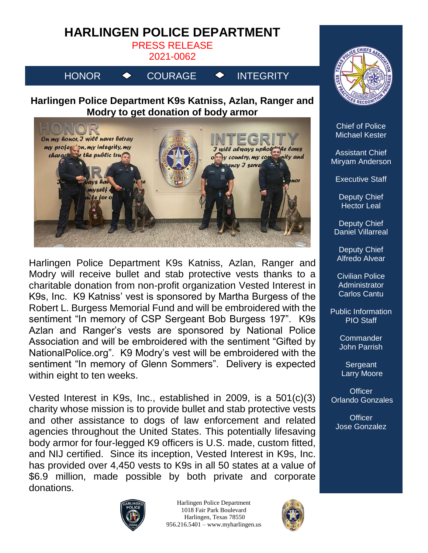## **HARLINGEN POLICE DEPARTMENT**

PRESS RELEASE

2021-0062



## **Harlingen Police Department K9s Katniss, Azlan, Ranger and Modry to get donation of body armor**



Harlingen Police Department K9s Katniss, Azlan, Ranger and Modry will receive bullet and stab protective vests thanks to a charitable donation from non-profit organization Vested Interest in K9s, Inc. K9 Katniss' vest is sponsored by Martha Burgess of the Robert L. Burgess Memorial Fund and will be embroidered with the sentiment "In memory of CSP Sergeant Bob Burgess 197". K9s Azlan and Ranger's vests are sponsored by National Police Association and will be embroidered with the sentiment "Gifted by NationalPolice.org". K9 Modry's vest will be embroidered with the sentiment "In memory of Glenn Sommers". Delivery is expected within eight to ten weeks.

Vested Interest in K9s, Inc., established in 2009, is a 501(c)(3) charity whose mission is to provide bullet and stab protective vests and other assistance to dogs of law enforcement and related agencies throughout the United States. This potentially lifesaving body armor for four-legged K9 officers is U.S. made, custom fitted, and NIJ certified. Since its inception, Vested Interest in K9s, Inc. has provided over 4,450 vests to K9s in all 50 states at a value of \$6.9 million, made possible by both private and corporate donations.







Chief of Police Michael Kester

Assistant Chief Miryam Anderson

Executive Staff

Deputy Chief Hector Leal

Deputy Chief Daniel Villarreal

Deputy Chief Alfredo Alvear

Civilian Police **Administrator** Carlos Cantu

Public Information PIO Staff

> **Commander** John Parrish

**Sergeant** Larry Moore

**Officer** Orlando Gonzales

**Officer** Jose Gonzalez